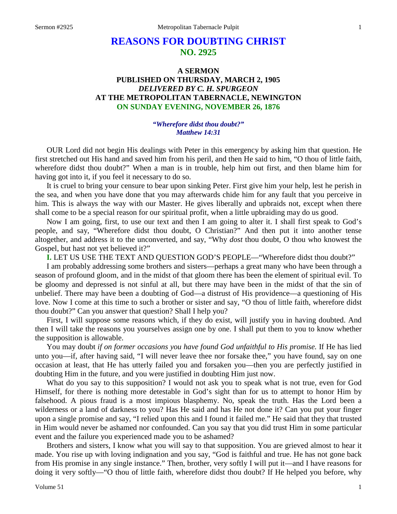# **REASONS FOR DOUBTING CHRIST NO. 2925**

# **A SERMON PUBLISHED ON THURSDAY, MARCH 2, 1905** *DELIVERED BY C. H. SPURGEON* **AT THE METROPOLITAN TABERNACLE, NEWINGTON ON SUNDAY EVENING, NOVEMBER 26, 1876**

#### *"Wherefore didst thou doubt?" Matthew 14:31*

OUR Lord did not begin His dealings with Peter in this emergency by asking him that question. He first stretched out His hand and saved him from his peril, and then He said to him, "O thou of little faith, wherefore didst thou doubt?" When a man is in trouble, help him out first, and then blame him for having got into it, if you feel it necessary to do so.

It is cruel to bring your censure to bear upon sinking Peter. First give him your help, lest he perish in the sea, and when you have done that you may afterwards chide him for any fault that you perceive in him. This is always the way with our Master. He gives liberally and upbraids not, except when there shall come to be a special reason for our spiritual profit, when a little upbraiding may do us good.

Now I am going, first, to use our text and then I am going to alter it. I shall first speak to God's people, and say, "Wherefore didst thou doubt, O Christian?" And then put it into another tense altogether, and address it to the unconverted, and say, "Why *dost* thou doubt, O thou who knowest the Gospel, but hast not yet believed it?"

**I.** LET US USE THE TEXT AND QUESTION GOD'S PEOPLE—"Wherefore didst thou doubt?"

I am probably addressing some brothers and sisters—perhaps a great many who have been through a season of profound gloom, and in the midst of that gloom there has been the element of spiritual evil. To be gloomy and depressed is not sinful at all, but there may have been in the midst of that the sin of unbelief. There may have been a doubting of God—a distrust of His providence—a questioning of His love. Now I come at this time to such a brother or sister and say, "O thou of little faith, wherefore didst thou doubt?" Can you answer that question? Shall I help you?

First, I will suppose some reasons which, if they do exist, will justify you in having doubted. And then I will take the reasons you yourselves assign one by one. I shall put them to you to know whether the supposition is allowable.

You may doubt *if on former occasions you have found God unfaithful to His promise*. If He has lied unto you—if, after having said, "I will never leave thee nor forsake thee," you have found, say on one occasion at least, that He has utterly failed you and forsaken you—then you are perfectly justified in doubting Him in the future, and you were justified in doubting Him just now.

What do you say to this supposition? I would not ask you to speak what is not true, even for God Himself, for there is nothing more detestable in God's sight than for us to attempt to honor Him by falsehood. A pious fraud is a most impious blasphemy. No, speak the truth. Has the Lord been a wilderness or a land of darkness to you? Has He said and has He not done it? Can you put your finger upon a single promise and say, "I relied upon this and I found it failed me." He said that they that trusted in Him would never be ashamed nor confounded. Can you say that you did trust Him in some particular event and the failure you experienced made you to be ashamed?

Brothers and sisters, I know what you will say to that supposition. You are grieved almost to hear it made. You rise up with loving indignation and you say, "God is faithful and true. He has not gone back from His promise in any single instance." Then, brother, very softly I will put it—and I have reasons for doing it very softly—"O thou of little faith, wherefore didst thou doubt? If He helped you before, why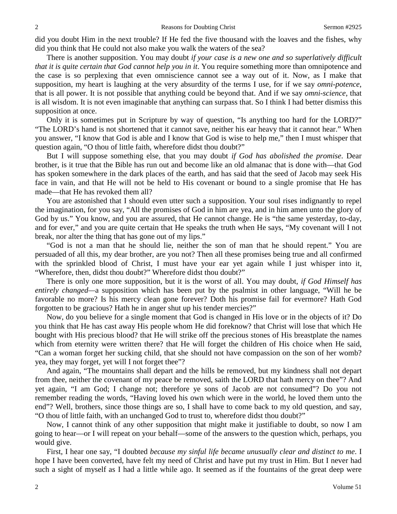did you doubt Him in the next trouble? If He fed the five thousand with the loaves and the fishes, why did you think that He could not also make you walk the waters of the sea?

There is another supposition. You may doubt *if your case is a new one and so superlatively difficult that it is quite certain that God cannot help you in it*. You require something more than omnipotence and the case is so perplexing that even omniscience cannot see a way out of it. Now, as I make that supposition, my heart is laughing at the very absurdity of the terms I use, for if we say *omni-potence*, that is all power. It is not possible that anything could be beyond that. And if we say *omni-science*, that is all wisdom. It is not even imaginable that anything can surpass that. So I think I had better dismiss this supposition at once.

Only it is sometimes put in Scripture by way of question, "Is anything too hard for the LORD?" "The LORD's hand is not shortened that it cannot save, neither his ear heavy that it cannot hear." When you answer, "I know that God is able and I know that God is wise to help me," then I must whisper that question again, "O thou of little faith, wherefore didst thou doubt?"

But I will suppose something else, that you may doubt *if God has abolished the promise*. Dear brother, is it true that the Bible has run out and become like an old almanac that is done with—that God has spoken somewhere in the dark places of the earth, and has said that the seed of Jacob may seek His face in vain, and that He will not be held to His covenant or bound to a single promise that He has made—that He has revoked them all?

You are astonished that I should even utter such a supposition. Your soul rises indignantly to repel the imagination, for you say, "All the promises of God in him are yea, and in him amen unto the glory of God by us." You know, and you are assured, that He cannot change. He is "the same yesterday, to-day, and for ever," and you are quite certain that He speaks the truth when He says, "My covenant will I not break, nor alter the thing that has gone out of my lips."

"God is not a man that he should lie, neither the son of man that he should repent." You are persuaded of all this, my dear brother, are you not? Then all these promises being true and all confirmed with the sprinkled blood of Christ, I must have your ear yet again while I just whisper into it, "Wherefore, then, didst thou doubt?" Wherefore didst thou doubt?"

There is only one more supposition, but it is the worst of all. You may doubt, *if God Himself has entirely changed—*a supposition which has been put by the psalmist in other language, "Will he be favorable no more? Is his mercy clean gone forever? Doth his promise fail for evermore? Hath God forgotten to be gracious? Hath he in anger shut up his tender mercies?"

Now, do you believe for a single moment that God is changed in His love or in the objects of it? Do you think that He has cast away His people whom He did foreknow? that Christ will lose that which He bought with His precious blood? that He will strike off the precious stones of His breastplate the names which from eternity were written there? that He will forget the children of His choice when He said, "Can a woman forget her sucking child, that she should not have compassion on the son of her womb? yea, they may forget, yet will I not forget thee"?

And again, "The mountains shall depart and the hills be removed, but my kindness shall not depart from thee, neither the covenant of my peace be removed, saith the LORD that hath mercy on thee"? And yet again, "I am God; I change not; therefore ye sons of Jacob are not consumed"? Do you not remember reading the words, "Having loved his own which were in the world, he loved them unto the end"? Well, brothers, since those things are so, I shall have to come back to my old question, and say, "O thou of little faith, with an unchanged God to trust to, wherefore didst thou doubt?"

Now, I cannot think of any other supposition that might make it justifiable to doubt, so now I am going to hear—or I will repeat on your behalf—some of the answers to the question which, perhaps, you would give.

First, I hear one say, "I doubted *because my sinful life became unusually clear and distinct to me*. I hope I have been converted, have felt my need of Christ and have put my trust in Him. But I never had such a sight of myself as I had a little while ago. It seemed as if the fountains of the great deep were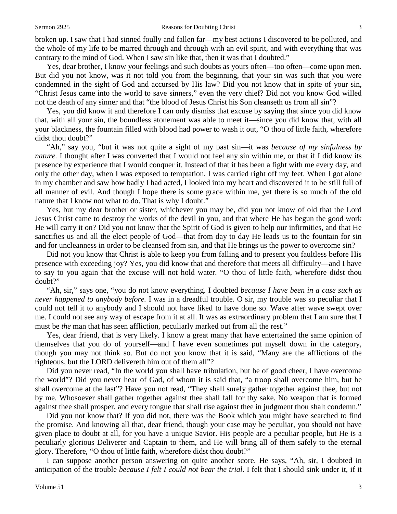broken up. I saw that I had sinned foully and fallen far—my best actions I discovered to be polluted, and the whole of my life to be marred through and through with an evil spirit, and with everything that was contrary to the mind of God. When I saw sin like that, then it was that I doubted."

Yes, dear brother, I know your feelings and such doubts as yours often—too often—come upon men. But did you not know, was it not told you from the beginning, that your sin was such that you were condemned in the sight of God and accursed by His law? Did you not know that in spite of your sin, "Christ Jesus came into the world to save sinners," even the very chief? Did not you know God willed not the death of any sinner and that "the blood of Jesus Christ his Son cleanseth us from all sin"?

Yes, you did know it and therefore I can only dismiss that excuse by saying that since you did know that, with all your sin, the boundless atonement was able to meet it—since you did know that, with all your blackness, the fountain filled with blood had power to wash it out, "O thou of little faith, wherefore didst thou doubt?"

"Ah," say you, "but it was not quite a sight of my past sin—it was *because of my sinfulness by nature.* I thought after I was converted that I would not feel any sin within me, or that if I did know its presence by experience that I would conquer it. Instead of that it has been a fight with me every day, and only the other day, when I was exposed to temptation, I was carried right off my feet. When I got alone in my chamber and saw how badly I had acted, I looked into my heart and discovered it to be still full of all manner of evil. And though I hope there is some grace within me, yet there is so much of the old nature that I know not what to do. That is why I doubt."

Yes, but my dear brother or sister, whichever you may be, did you not know of old that the Lord Jesus Christ came to destroy the works of the devil in you, and that where He has begun the good work He will carry it on? Did you not know that the Spirit of God is given to help our infirmities, and that He sanctifies us and all the elect people of God—that from day to day He leads us to the fountain for sin and for uncleanness in order to be cleansed from sin, and that He brings us the power to overcome sin?

Did not you know that Christ is able to keep you from falling and to present you faultless before His presence with exceeding joy? Yes, you did know that and therefore that meets all difficulty—and I have to say to you again that the excuse will not hold water. "O thou of little faith, wherefore didst thou doubt?"

"Ah, sir," says one, "you do not know everything. I doubted *because I have been in a case such as never happened to anybody before.* I was in a dreadful trouble. O sir, my trouble was so peculiar that I could not tell it to anybody and I should not have liked to have done so. Wave after wave swept over me. I could not see any way of escape from it at all. It was as extraordinary problem that I am sure that I must be *the* man that has seen affliction, peculiarly marked out from all the rest."

Yes, dear friend, that is very likely. I know a great many that have entertained the same opinion of themselves that you do of yourself—and I have even sometimes put myself down in the category, though you may not think so. But do not you know that it is said, "Many are the afflictions of the righteous, but the LORD delivereth him out of them all"?

Did you never read, "In the world you shall have tribulation, but be of good cheer, I have overcome the world"? Did you never hear of Gad, of whom it is said that, "a troop shall overcome him, but he shall overcome at the last"? Have you not read, "They shall surely gather together against thee, but not by me. Whosoever shall gather together against thee shall fall for thy sake. No weapon that is formed against thee shall prosper, and every tongue that shall rise against thee in judgment thou shalt condemn."

Did you not know that? If you did not, there was the Book which you might have searched to find the promise. And knowing all that, dear friend, though your case may be peculiar, you should not have given place to doubt at all, for you have a unique Savior. His people are a peculiar people, but He is a peculiarly glorious Deliverer and Captain to them, and He will bring all of them safely to the eternal glory. Therefore, "O thou of little faith, wherefore didst thou doubt?"

I can suppose another person answering on quite another score. He says, "Ah, sir, I doubted in anticipation of the trouble *because I felt I could not bear the trial*. I felt that I should sink under it, if it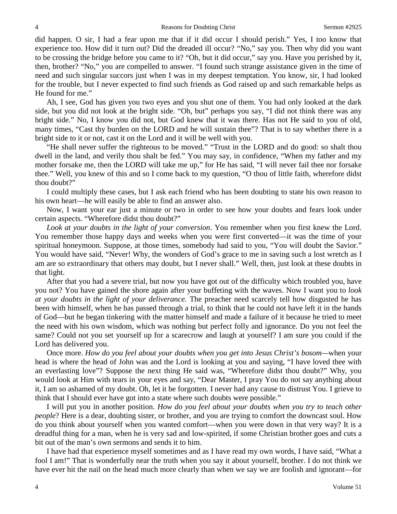did happen. O sir, I had a fear upon me that if it did occur I should perish." Yes, I too know that experience too. How did it turn out? Did the dreaded ill occur? "No," say you. Then why did you want to be crossing the bridge before you came to it? "Oh, but it did occur," say you. Have you perished by it, then, brother? "No," you are compelled to answer. "I found such strange assistance given in the time of need and such singular succors just when I was in my deepest temptation. You know, sir, I had looked for the trouble, but I never expected to find such friends as God raised up and such remarkable helps as He found for me."

Ah, I see, God has given you two eyes and you shut one of them. You had only looked at the dark side, but you did not look at the bright side. "Oh, but" perhaps you say, "I did not think there was any bright side." No, I know you did not, but God knew that it was there. Has not He said to you of old, many times, "Cast thy burden on the LORD and he will sustain thee"? That is to say whether there is a bright side to it or not, cast it on the Lord and it will be well with you.

"He shall never suffer the righteous to be moved." "Trust in the LORD and do good: so shalt thou dwell in the land, and verily thou shalt be fed." You may say, in confidence, "When my father and my mother forsake me, then the LORD will take me up," for He has said, "I will never fail thee nor forsake thee." Well, you knew of this and so I come back to my question, "O thou of little faith, wherefore didst thou doubt?"

I could multiply these cases, but I ask each friend who has been doubting to state his own reason to his own heart—he will easily be able to find an answer also.

Now, I want your ear just a minute or two in order to see how your doubts and fears look under certain aspects. "Wherefore didst thou doubt?"

*Look at your doubts in the light of your conversion*. You remember when you first knew the Lord. You remember those happy days and weeks when you were first converted—it was the time of your spiritual honeymoon. Suppose, at those times, somebody had said to you, "You will doubt the Savior." You would have said, "Never! Why, the wonders of God's grace to me in saving such a lost wretch as I am are so extraordinary that others may doubt, but I never shall." Well, then, just look at these doubts in that light.

After that you had a severe trial, but now you have got out of the difficulty which troubled you, have you not? You have gained the shore again after your buffeting with the waves. Now I want you to *look at your doubts in the light of your deliverance.* The preacher need scarcely tell how disgusted he has been with himself, when he has passed through a trial, to think that he could not have left it in the hands of God—but he began tinkering with the matter himself and made a failure of it because he tried to meet the need with his own wisdom, which was nothing but perfect folly and ignorance. Do you not feel the same? Could not you set yourself up for a scarecrow and laugh at yourself? I am sure you could if the Lord has delivered you.

Once more. *How do you feel about your doubts when you get into Jesus Christ's bosom—*when your head is where the head of John was and the Lord is looking at you and saying, "I have loved thee with an everlasting love"? Suppose the next thing He said was, "Wherefore didst thou doubt?" Why, you would look at Him with tears in your eyes and say, "Dear Master, I pray You do not say anything about it, I am so ashamed of my doubt. Oh, let it be forgotten. I never had any cause to distrust You. I grieve to think that I should ever have got into a state where such doubts were possible."

I will put you in another position. *How do you feel about your doubts when you try to teach other people*? Here is a dear, doubting sister, or brother, and you are trying to comfort the downcast soul. How do you think about yourself when you wanted comfort—when you were down in that very way? It is a dreadful thing for a man, when he is very sad and low-spirited, if some Christian brother goes and cuts a bit out of the man's own sermons and sends it to him.

I have had that experience myself sometimes and as I have read my own words, I have said, "What a fool I am!" That is wonderfully near the truth when you say it about yourself, brother. I do not think we have ever hit the nail on the head much more clearly than when we say we are foolish and ignorant—for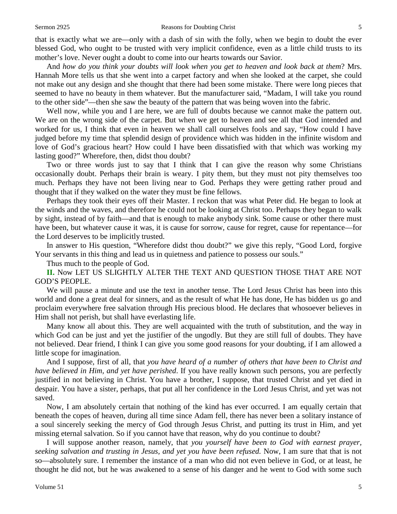that is exactly what we are—only with a dash of sin with the folly, when we begin to doubt the ever blessed God, who ought to be trusted with very implicit confidence, even as a little child trusts to its mother's love. Never ought a doubt to come into our hearts towards our Savior.

And *how do you think your doubts will look when you get to heaven and look back at them*? Mrs. Hannah More tells us that she went into a carpet factory and when she looked at the carpet, she could not make out any design and she thought that there had been some mistake. There were long pieces that seemed to have no beauty in them whatever. But the manufacturer said, "Madam, I will take you round to the other side"—then she saw the beauty of the pattern that was being woven into the fabric.

Well now, while you and I are here, we are full of doubts because we cannot make the pattern out. We are on the wrong side of the carpet. But when we get to heaven and see all that God intended and worked for us, I think that even in heaven we shall call ourselves fools and say, "How could I have judged before my time that splendid design of providence which was hidden in the infinite wisdom and love of God's gracious heart? How could I have been dissatisfied with that which was working my lasting good?" Wherefore, then, didst thou doubt?

Two or three words just to say that I think that I can give the reason why some Christians occasionally doubt. Perhaps their brain is weary. I pity them, but they must not pity themselves too much. Perhaps they have not been living near to God. Perhaps they were getting rather proud and thought that if they walked on the water they must be fine fellows.

Perhaps they took their eyes off their Master. I reckon that was what Peter did. He began to look at the winds and the waves, and therefore he could not be looking at Christ too. Perhaps they began to walk by sight, instead of by faith—and that is enough to make anybody sink. Some cause or other there must have been, but whatever cause it was, it is cause for sorrow, cause for regret, cause for repentance—for the Lord deserves to be implicitly trusted.

In answer to His question, "Wherefore didst thou doubt?" we give this reply, "Good Lord, forgive Your servants in this thing and lead us in quietness and patience to possess our souls."

Thus much to the people of God.

**II.** Now LET US SLIGHTLY ALTER THE TEXT AND QUESTION THOSE THAT ARE NOT GOD'S PEOPLE.

We will pause a minute and use the text in another tense. The Lord Jesus Christ has been into this world and done a great deal for sinners, and as the result of what He has done, He has bidden us go and proclaim everywhere free salvation through His precious blood. He declares that whosoever believes in Him shall not perish, but shall have everlasting life.

Many know all about this. They are well acquainted with the truth of substitution, and the way in which God can be just and yet the justifier of the ungodly. But they are still full of doubts. They have not believed. Dear friend, I think I can give you some good reasons for your doubting, if I am allowed a little scope for imagination.

And I suppose, first of all, that *you have heard of a number of others that have been to Christ and have believed in Him, and yet have perished*. If you have really known such persons, you are perfectly justified in not believing in Christ. You have a brother, I suppose, that trusted Christ and yet died in despair. You have a sister, perhaps, that put all her confidence in the Lord Jesus Christ, and yet was not saved.

Now, I am absolutely certain that nothing of the kind has ever occurred. I am equally certain that beneath the copes of heaven, during all time since Adam fell, there has never been a solitary instance of a soul sincerely seeking the mercy of God through Jesus Christ, and putting its trust in Him, and yet missing eternal salvation. So if you cannot have that reason, why do you continue to doubt?

I will suppose another reason, namely, that *you yourself have been to God with earnest prayer, seeking salvation and trusting in Jesus, and yet you have been refused.* Now, I am sure that that is not so—absolutely sure. I remember the instance of a man who did not even believe in God, or at least, he thought he did not, but he was awakened to a sense of his danger and he went to God with some such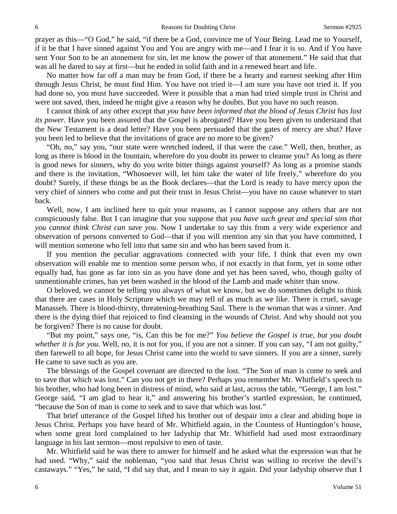prayer as this—"O God," he said, "if there be a God, convince me of Your Being. Lead me to Yourself, if it be that I have sinned against You and You are angry with me—and I fear it is so. And if You have sent Your Son to be an atonement for sin, let me know the power of that atonement." He said that that was all he dared to say at first—but he ended in solid faith and in a renewed heart and life.

No matter how far off a man may be from God, if there be a hearty and earnest seeking after Him through Jesus Christ, he must find Him. You have not tried it—I am sure you have not tried it. If you had done so, you must have succeeded. Were it possible that a man had tried simple trust in Christ and were not saved, then, indeed he might give a reason why he doubts. But you have no such reason.

I cannot think of any other except that *you have been informed that the blood of Jesus Christ has lost its power.* Have you been assured that the Gospel is abrogated? Have you been given to understand that the New Testament is a dead letter? Have you been persuaded that the gates of mercy are shut? Have you been led to believe that the invitations of grace are no more to be given?

"Oh, no," say you, "our state were wretched indeed, if that were the case." Well, then, brother, as long as there is blood in the fountain, wherefore do you doubt its power to cleanse you? As long as there is good news for sinners, why do you write bitter things against yourself? As long as a promise stands and there is the invitation, "Whosoever will, let him take the water of life freely," wherefore do you doubt? Surely, if these things be as the Book declares—that the Lord is ready to have mercy upon the very chief of sinners who come and put their trust in Jesus Christ—you have no cause whatever to start back.

Well, now, I am inclined here to quit your reasons, as I cannot suppose any others that are not conspicuously false. But I can imagine that you suppose that *you have such great and special sins that you cannot think Christ can save you*. Now I undertake to say this from a very wide experience and observation of persons converted to God—that if you will mention any sin that you have committed, I will mention someone who fell into that same sin and who has been saved from it.

If you mention the peculiar aggravations connected with your life, I think that even my own observation will enable me to mention some person who, if not exactly in that form, yet in some other equally bad, has gone as far into sin as you have done and yet has been saved, who, though guilty of unmentionable crimes, has yet been washed in the blood of the Lamb and made whiter than snow.

O beloved, we cannot be telling you always of what we know, but we do sometimes delight to think that there are cases in Holy Scripture which we may tell of as much as we like. There is cruel, savage Manasseh. There is blood-thirsty, threatening-breathing Saul. There is the woman that was a sinner. And there is the dying thief that rejoiced to find cleansing in the wounds of Christ. And why should not you be forgiven? There is no cause for doubt.

"But my point," says one, "is, Can this be for me?" *You believe the Gospel is true, but you doubt whether it is for you.* Well, no, it is not for you, if you are not a sinner. If you can say, "I am not guilty," then farewell to all hope, for Jesus Christ came into the world to save sinners. If you are a sinner, surely He came to save such as you are.

The blessings of the Gospel covenant are directed to the lost. "The Son of man is come to seek and to save that which was lost." Can you not get in there? Perhaps you remember Mr. Whitfield's speech to his brother, who had long been in distress of mind, who said at last, across the table, "George, I am lost." George said, "I am glad to hear it," and answering his brother's startled expression, he continued, "because the Son of man is come to seek and to save that which was lost."

That brief utterance of the Gospel lifted his brother out of despair into a clear and abiding hope in Jesus Christ. Perhaps you have heard of Mr. Whitfield again, in the Countess of Huntingdon's house, when some great lord complained to her ladyship that Mr. Whitfield had used most extraordinary language in his last sermon—most repulsive to men of taste.

Mr. Whitfield said he was there to answer for himself and he asked what the expression was that he had used. "Why," said the nobleman, "you said that Jesus Christ was willing to receive the devil's castaways." "Yes," he said, "I did say that, and I mean to say it again. Did your ladyship observe that I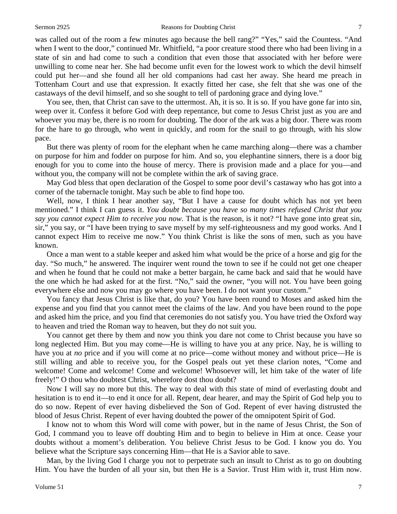was called out of the room a few minutes ago because the bell rang?" "Yes," said the Countess. "And when I went to the door," continued Mr. Whitfield, "a poor creature stood there who had been living in a state of sin and had come to such a condition that even those that associated with her before were unwilling to come near her. She had become unfit even for the lowest work to which the devil himself could put her—and she found all her old companions had cast her away. She heard me preach in Tottenham Court and use that expression. It exactly fitted her case, she felt that she was one of the castaways of the devil himself, and so she sought to tell of pardoning grace and dying love."

You see, then, that Christ can save to the uttermost. Ah, it is so. It is so. If you have gone far into sin, weep over it. Confess it before God with deep repentance, but come to Jesus Christ just as you are and whoever you may be, there is no room for doubting. The door of the ark was a big door. There was room for the hare to go through, who went in quickly, and room for the snail to go through, with his slow pace.

But there was plenty of room for the elephant when he came marching along—there was a chamber on purpose for him and fodder on purpose for him. And so, you elephantine sinners, there is a door big enough for you to come into the house of mercy. There is provision made and a place for you—and without you, the company will not be complete within the ark of saving grace.

May God bless that open declaration of the Gospel to some poor devil's castaway who has got into a corner of the tabernacle tonight. May such be able to find hope too.

Well, now, I think I hear another say, "But I have a cause for doubt which has not yet been mentioned." I think I can guess it. *You doubt because you have so many times refused Christ that you say you cannot expect Him to receive you now.* That is the reason, is it not? "I have gone into great sin, sir," you say, or "I have been trying to save myself by my self-righteousness and my good works. And I cannot expect Him to receive me now." You think Christ is like the sons of men, such as you have known.

Once a man went to a stable keeper and asked him what would be the price of a horse and gig for the day. "So much," he answered. The inquirer went round the town to see if he could not get one cheaper and when he found that he could not make a better bargain, he came back and said that he would have the one which he had asked for at the first. "No," said the owner, "you will not. You have been going everywhere else and now you may go where you have been. I do not want your custom."

You fancy that Jesus Christ is like that, do you? You have been round to Moses and asked him the expense and you find that you cannot meet the claims of the law. And you have been round to the pope and asked him the price, and you find that ceremonies do not satisfy you. You have tried the Oxford way to heaven and tried the Roman way to heaven, but they do not suit you.

You cannot get there by them and now you think you dare not come to Christ because you have so long neglected Him. But you may come—He is willing to have you at any price. Nay, he is willing to have you at *no* price and if you will come at no price—come without money and without price—He is still willing and able to receive you, for the Gospel peals out yet these clarion notes, "Come and welcome! Come and welcome! Come and welcome! Whosoever will, let him take of the water of life freely!" O thou who doubtest Christ, wherefore dost thou doubt?

Now I will say no more but this. The way to deal with this state of mind of everlasting doubt and hesitation is to end it—to end it once for all. Repent, dear hearer, and may the Spirit of God help you to do so now. Repent of ever having disbelieved the Son of God. Repent of ever having distrusted the blood of Jesus Christ. Repent of ever having doubted the power of the omnipotent Spirit of God.

I know not to whom this Word will come with power, but in the name of Jesus Christ, the Son of God, I command you to leave off doubting Him and to begin to believe in Him at once. Cease your doubts without a moment's deliberation. You believe Christ Jesus to be God. I know you do. You believe what the Scripture says concerning Him—that He is a Savior able to save.

Man, by the living God I charge you not to perpetrate such an insult to Christ as to go on doubting Him. You have the burden of all your sin, but then He is a Savior. Trust Him with it, trust Him now.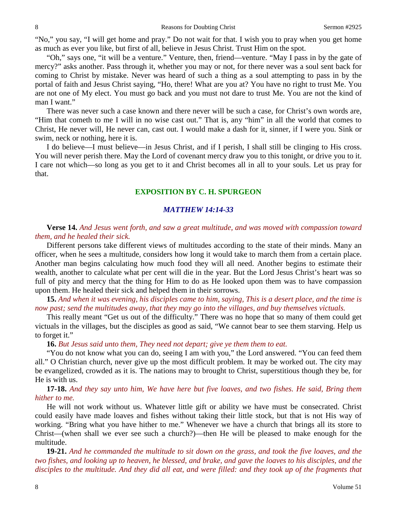"No," you say, "I will get home and pray." Do not wait for that. I wish you to pray when you get home as much as ever you like, but first of all, believe in Jesus Christ. Trust Him on the spot.

"Oh," says one, "it will be a venture." Venture, then, friend—venture. "May I pass in by the gate of mercy?" asks another. Pass through it, whether you may or not, for there never was a soul sent back for coming to Christ by mistake. Never was heard of such a thing as a soul attempting to pass in by the portal of faith and Jesus Christ saying, "Ho, there! What are you at? You have no right to trust Me. You are not one of My elect. You must go back and you must not dare to trust Me. You are not the kind of man I want."

There was never such a case known and there never will be such a case, for Christ's own words are, "Him that cometh to me I will in no wise cast out." That is, any "him" in all the world that comes to Christ, He never will, He never can, cast out. I would make a dash for it, sinner, if I were you. Sink or swim, neck or nothing, here it is.

I do believe—I must believe—in Jesus Christ, and if I perish, I shall still be clinging to His cross. You will never perish there. May the Lord of covenant mercy draw you to this tonight, or drive you to it. I care not which—so long as you get to it and Christ becomes all in all to your souls. Let us pray for that.

### **EXPOSITION BY C. H. SPURGEON**

#### *MATTHEW 14:14-33*

### **Verse 14.** *And Jesus went forth, and saw a great multitude, and was moved with compassion toward them, and he healed their sick.*

Different persons take different views of multitudes according to the state of their minds. Many an officer, when he sees a multitude, considers how long it would take to march them from a certain place. Another man begins calculating how much food they will all need. Another begins to estimate their wealth, another to calculate what per cent will die in the year. But the Lord Jesus Christ's heart was so full of pity and mercy that the thing for Him to do as He looked upon them was to have compassion upon them. He healed their sick and helped them in their sorrows.

**15.** *And when it was evening, his disciples came to him, saying, This is a desert place, and the time is now past; send the multitudes away, that they may go into the villages, and buy themselves victuals.* 

This really meant "Get us out of the difficulty." There was no hope that so many of them could get victuals in the villages, but the disciples as good as said, "We cannot bear to see them starving. Help us to forget it."

#### **16.** *But Jesus said unto them, They need not depart; give ye them them to eat.*

"You do not know what you can do, seeing I am with you," the Lord answered. "You can feed them all." O Christian church, never give up the most difficult problem. It may be worked out. The city may be evangelized, crowded as it is. The nations may to brought to Christ, superstitious though they be, for He is with us.

**17-18.** *And they say unto him, We have here but five loaves, and two fishes. He said, Bring them hither to me.*

He will not work without us. Whatever little gift or ability we have must be consecrated. Christ could easily have made loaves and fishes without taking their little stock, but that is not His way of working. "Bring what you have hither to me." Whenever we have a church that brings all its store to Christ—(when shall we ever see such a church?)—then He will be pleased to make enough for the multitude.

**19-21.** *And he commanded the multitude to sit down on the grass, and took the five loaves, and the two fishes, and looking up to heaven, he blessed, and brake, and gave the loaves to his disciples, and the disciples to the multitude. And they did all eat, and were filled: and they took up of the fragments that*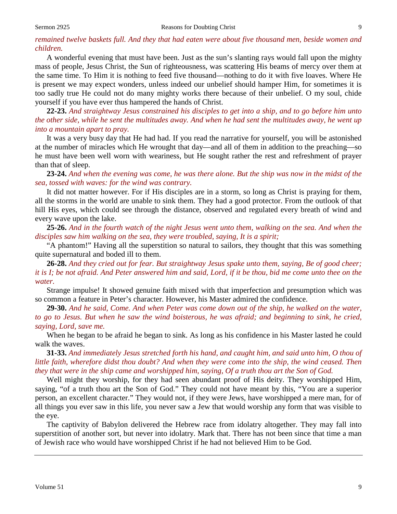## *remained twelve baskets full. And they that had eaten were about five thousand men, beside women and children.*

A wonderful evening that must have been. Just as the sun's slanting rays would fall upon the mighty mass of people, Jesus Christ, the Sun of righteousness, was scattering His beams of mercy over them at the same time. To Him it is nothing to feed five thousand—nothing to do it with five loaves. Where He is present we may expect wonders, unless indeed our unbelief should hamper Him, for sometimes it is too sadly true He could not do many mighty works there because of their unbelief. O my soul, chide yourself if you have ever thus hampered the hands of Christ.

**22-23.** *And straightway Jesus constrained his disciples to get into a ship, and to go before him unto the other side, while he sent the multitudes away. And when he had sent the multitudes away, he went up into a mountain apart to pray.* 

It was a very busy day that He had had. If you read the narrative for yourself, you will be astonished at the number of miracles which He wrought that day—and all of them in addition to the preaching—so he must have been well worn with weariness, but He sought rather the rest and refreshment of prayer than that of sleep.

**23-24.** *And when the evening was come, he was there alone. But the ship was now in the midst of the sea, tossed with waves: for the wind was contrary.*

It did not matter however. For if His disciples are in a storm, so long as Christ is praying for them, all the storms in the world are unable to sink them. They had a good protector. From the outlook of that hill His eyes, which could see through the distance, observed and regulated every breath of wind and every wave upon the lake.

**25-26.** *And in the fourth watch of the night Jesus went unto them, walking on the sea. And when the disciples saw him walking on the sea, they were troubled, saying, It is a spirit;*

"A phantom!" Having all the superstition so natural to sailors, they thought that this was something quite supernatural and boded ill to them.

**26-28.** *And they cried out for fear. But straightway Jesus spake unto them, saying, Be of good cheer; it is I; be not afraid. And Peter answered him and said, Lord, if it be thou, bid me come unto thee on the water.*

Strange impulse! It showed genuine faith mixed with that imperfection and presumption which was so common a feature in Peter's character. However, his Master admired the confidence.

**29-30.** *And he said, Come. And when Peter was come down out of the ship, he walked on the water, to go to Jesus. But when he saw the wind boisterous, he was afraid; and beginning to sink, he cried, saying, Lord, save me.*

When he began to be afraid he began to sink. As long as his confidence in his Master lasted he could walk the waves.

**31-33.** *And immediately Jesus stretched forth his hand, and caught him, and said unto him, O thou of little faith, wherefore didst thou doubt? And when they were come into the ship, the wind ceased. Then they that were in the ship came and worshipped him, saying, Of a truth thou art the Son of God.*

Well might they worship, for they had seen abundant proof of His deity. They worshipped Him, saying, "of a truth thou art the Son of God." They could not have meant by this, "You are a superior person, an excellent character." They would not, if they were Jews, have worshipped a mere man, for of all things you ever saw in this life, you never saw a Jew that would worship any form that was visible to the eye.

The captivity of Babylon delivered the Hebrew race from idolatry altogether. They may fall into superstition of another sort, but never into idolatry. Mark that. There has not been since that time a man of Jewish race who would have worshipped Christ if he had not believed Him to be God.